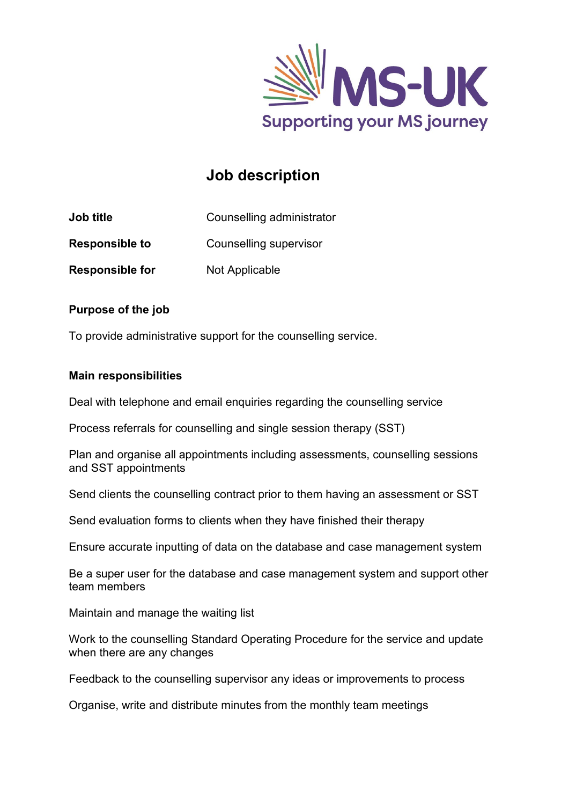

# **Job description**

| <b>Job title</b> | Counselling administrator |
|------------------|---------------------------|
|------------------|---------------------------|

**Responsible to** Counselling supervisor

**Responsible for** Not Applicable

## **Purpose of the job**

To provide administrative support for the counselling service.

## **Main responsibilities**

Deal with telephone and email enquiries regarding the counselling service

Process referrals for counselling and single session therapy (SST)

Plan and organise all appointments including assessments, counselling sessions and SST appointments

Send clients the counselling contract prior to them having an assessment or SST

Send evaluation forms to clients when they have finished their therapy

Ensure accurate inputting of data on the database and case management system

Be a super user for the database and case management system and support other team members

Maintain and manage the waiting list

Work to the counselling Standard Operating Procedure for the service and update when there are any changes

Feedback to the counselling supervisor any ideas or improvements to process

Organise, write and distribute minutes from the monthly team meetings